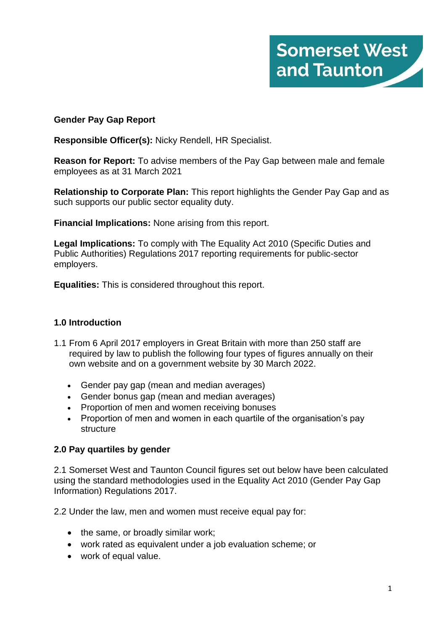

### **Gender Pay Gap Report**

**Responsible Officer(s):** Nicky Rendell, HR Specialist.

**Reason for Report:** To advise members of the Pay Gap between male and female employees as at 31 March 2021

**Relationship to Corporate Plan:** This report highlights the Gender Pay Gap and as such supports our public sector equality duty.

**Financial Implications:** None arising from this report.

**Legal Implications:** To comply with The Equality Act 2010 (Specific Duties and Public Authorities) Regulations 2017 reporting requirements for public-sector employers.

**Equalities:** This is considered throughout this report.

### **1.0 Introduction**

- 1.1 From 6 April 2017 employers in Great Britain with more than 250 staff are required by law to publish the following four types of figures annually on their own website and on a government website by 30 March 2022.
	- Gender pay gap (mean and median averages)
	- Gender bonus gap (mean and median averages)
	- Proportion of men and women receiving bonuses
	- Proportion of men and women in each quartile of the organisation's pay **structure**

### **2.0 Pay quartiles by gender**

2.1 Somerset West and Taunton Council figures set out below have been calculated using the standard methodologies used in the Equality Act 2010 (Gender Pay Gap Information) Regulations 2017.

2.2 Under the law, men and women must receive equal pay for:

- the same, or broadly similar work;
- work rated as equivalent under a job evaluation scheme; or
- work of equal value.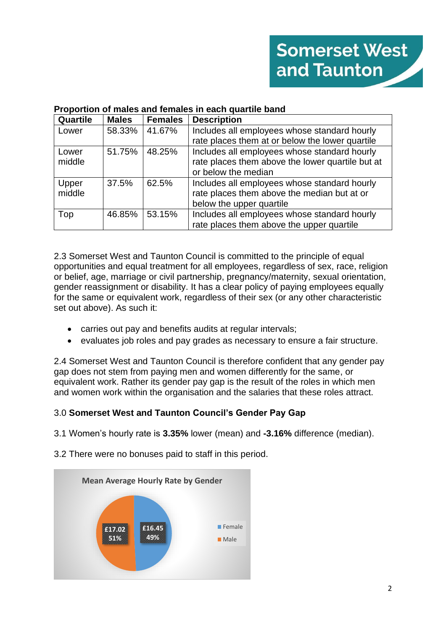## **Proportion of males and females in each quartile band**

| <b>Quartile</b> | <b>Males</b> | <b>Females</b> | <b>Description</b>                               |
|-----------------|--------------|----------------|--------------------------------------------------|
| Lower           | 58.33%       | 41.67%         | Includes all employees whose standard hourly     |
|                 |              |                | rate places them at or below the lower quartile  |
| Lower           | 51.75%       | 48.25%         | Includes all employees whose standard hourly     |
| middle          |              |                | rate places them above the lower quartile but at |
|                 |              |                | or below the median                              |
| Upper           | 37.5%        | 62.5%          | Includes all employees whose standard hourly     |
| middle          |              |                | rate places them above the median but at or      |
|                 |              |                | below the upper quartile                         |
| Top             | 46.85%       | 53.15%         | Includes all employees whose standard hourly     |
|                 |              |                | rate places them above the upper quartile        |

2.3 Somerset West and Taunton Council is committed to the principle of equal opportunities and equal treatment for all employees, regardless of sex, race, religion or belief, age, marriage or civil partnership, pregnancy/maternity, sexual orientation, gender reassignment or disability. It has a clear policy of paying employees equally for the same or equivalent work, regardless of their sex (or any other characteristic set out above). As such it:

- carries out pay and benefits audits at regular intervals;
- evaluates job roles and pay grades as necessary to ensure a fair structure.

2.4 Somerset West and Taunton Council is therefore confident that any gender pay gap does not stem from paying men and women differently for the same, or equivalent work. Rather its gender pay gap is the result of the roles in which men and women work within the organisation and the salaries that these roles attract.

# 3.0 **Somerset West and Taunton Council's Gender Pay Gap**

3.1 Women's hourly rate is **3.35%** lower (mean) and **-3.16%** difference (median).

3.2 There were no bonuses paid to staff in this period.